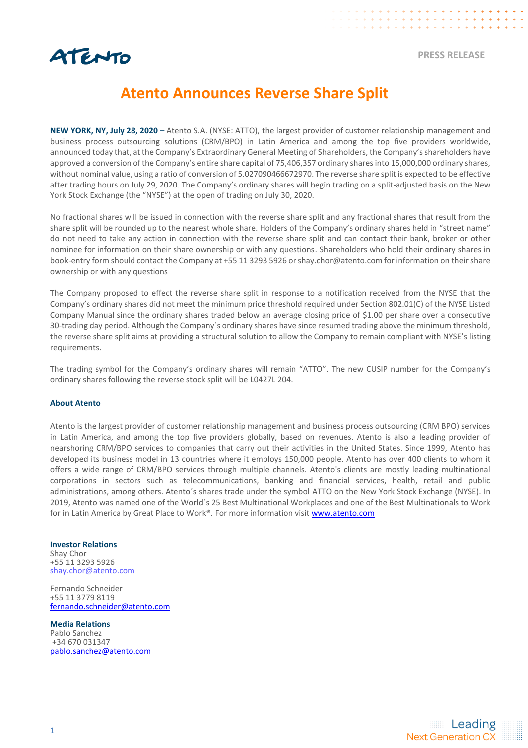

## **Atento Announces Reverse Share Split**

**NEW YORK, NY, July 28, 2020 –** Atento S.A. (NYSE: ATTO), the largest provider of customer relationship management and business process outsourcing solutions (CRM/BPO) in Latin America and among the top five providers worldwide, announced today that, at the Company's Extraordinary General Meeting of Shareholders, the Company's shareholders have approved a conversion of the Company's entire share capital of 75,406,357 ordinary shares into 15,000,000 ordinary shares, without nominal value, using a ratio of conversion of 5.027090466672970. The reverse share split is expected to be effective after trading hours on July 29, 2020. The Company's ordinary shares will begin trading on a split-adjusted basis on the New York Stock Exchange (the "NYSE") at the open of trading on July 30, 2020.

No fractional shares will be issued in connection with the reverse share split and any fractional shares that result from the share split will be rounded up to the nearest whole share. Holders of the Company's ordinary shares held in "street name" do not need to take any action in connection with the reverse share split and can contact their bank, broker or other nominee for information on their share ownership or with any questions. Shareholders who hold their ordinary shares in book-entry form should contact the Company at +55 11 3293 5926 or shay.chor@atento.com for information on their share ownership or with any questions

The Company proposed to effect the reverse share split in response to a notification received from the NYSE that the Company's ordinary shares did not meet the minimum price threshold required under Section 802.01(C) of the NYSE Listed Company Manual since the ordinary shares traded below an average closing price of \$1.00 per share over a consecutive 30-trading day period. Although the Company´s ordinary shares have since resumed trading above the minimum threshold, the reverse share split aims at providing a structural solution to allow the Company to remain compliant with NYSE's listing requirements.

The trading symbol for the Company's ordinary shares will remain "ATTO". The new CUSIP number for the Company's ordinary shares following the reverse stock split will be L0427L 204.

## **About Atento**

Atento is the largest provider of customer relationship management and business process outsourcing (CRM BPO) services in Latin America, and among the top five providers globally, based on revenues. Atento is also a leading provider of nearshoring CRM/BPO services to companies that carry out their activities in the United States. Since 1999, Atento has developed its business model in 13 countries where it employs 150,000 people. Atento has over 400 clients to whom it offers a wide range of CRM/BPO services through multiple channels. Atento's clients are mostly leading multinational corporations in sectors such as telecommunications, banking and financial services, health, retail and public administrations, among others. Atento´s shares trade under the symbol ATTO on the New York Stock Exchange (NYSE). In 2019, Atento was named one of the World´s 25 Best Multinational Workplaces and one of the Best Multinationals to Work for in Latin America by Great Place to Work®. For more information visit [www.atento.com](http://www.atento.com/)

## **Investor Relations**

Shay Chor +55 11 3293 5926 [shay.chor@atento.com](mailto:shay.chor@atento.com)

Fernando Schneider +55 11 3779 8119 [fernando.schneider@atento.com](mailto:fernando.schneider@atento.com)

**Media Relations** Pablo Sanchez +34 670 031347 pablo.sanchez@atento.com